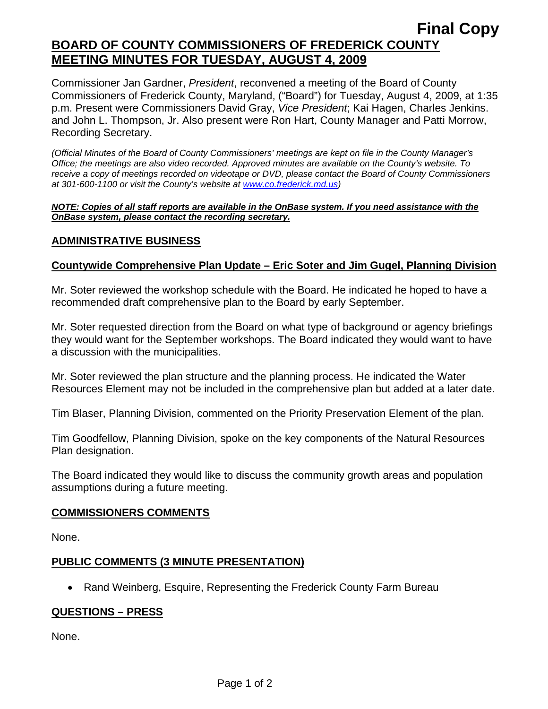## **Final Copy BOARD OF COUNTY COMMISSIONERS OF FREDERICK COUNTY MEETING MINUTES FOR TUESDAY, AUGUST 4, 2009**

Commissioner Jan Gardner, *President*, reconvened a meeting of the Board of County Commissioners of Frederick County, Maryland, ("Board") for Tuesday, August 4, 2009, at 1:35 p.m. Present were Commissioners David Gray, *Vice President*; Kai Hagen, Charles Jenkins. and John L. Thompson, Jr. Also present were Ron Hart, County Manager and Patti Morrow, Recording Secretary.

*(Official Minutes of the Board of County Commissioners' meetings are kept on file in the County Manager's Office; the meetings are also video recorded. Approved minutes are available on the County's website. To receive a copy of meetings recorded on videotape or DVD, please contact the Board of County Commissioners at 301-600-1100 or visit the County's website at [www.co.frederick.md.us\)](http://www.co.frederick.md.us/)* 

#### *NOTE: Copies of all staff reports are available in the OnBase system. If you need assistance with the OnBase system, please contact the recording secretary.*

## **ADMINISTRATIVE BUSINESS**

## **Countywide Comprehensive Plan Update – Eric Soter and Jim Gugel, Planning Division**

Mr. Soter reviewed the workshop schedule with the Board. He indicated he hoped to have a recommended draft comprehensive plan to the Board by early September.

Mr. Soter requested direction from the Board on what type of background or agency briefings they would want for the September workshops. The Board indicated they would want to have a discussion with the municipalities.

Mr. Soter reviewed the plan structure and the planning process. He indicated the Water Resources Element may not be included in the comprehensive plan but added at a later date.

Tim Blaser, Planning Division, commented on the Priority Preservation Element of the plan.

Tim Goodfellow, Planning Division, spoke on the key components of the Natural Resources Plan designation.

The Board indicated they would like to discuss the community growth areas and population assumptions during a future meeting.

#### **COMMISSIONERS COMMENTS**

None.

## **PUBLIC COMMENTS (3 MINUTE PRESENTATION)**

• Rand Weinberg, Esquire, Representing the Frederick County Farm Bureau

## **QUESTIONS – PRESS**

None.